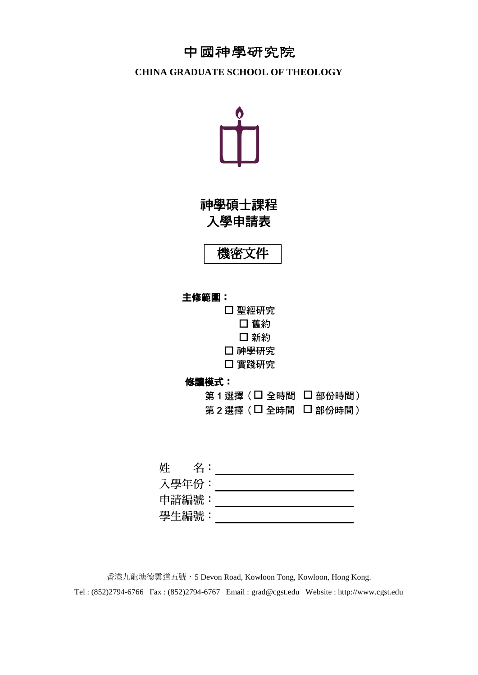# 中國神學研究院

### **CHINA GRADUATE SCHOOL OF THEOLOGY**



神學碩士課程 入學申請表

機密文件

### 主修範圍:

 聖經研究 □ 舊約 □ 新約 □ 神學研究 實踐研究

### 修讀模式:

| 第1選擇(□ 全時間 □ 部份時間) |  |
|--------------------|--|
| 第2選擇(口 全時間 []部份時間) |  |

姓 名: 入學年份: 申請編號: 學生編號:

香港九龍塘德雲道五號.5 Devon Road, Kowloon Tong, Kowloon, Hong Kong. Tel : (852)2794-6766 Fax : (852)2794-6767 Email : grad@cgst.edu Website : http://www.cgst.edu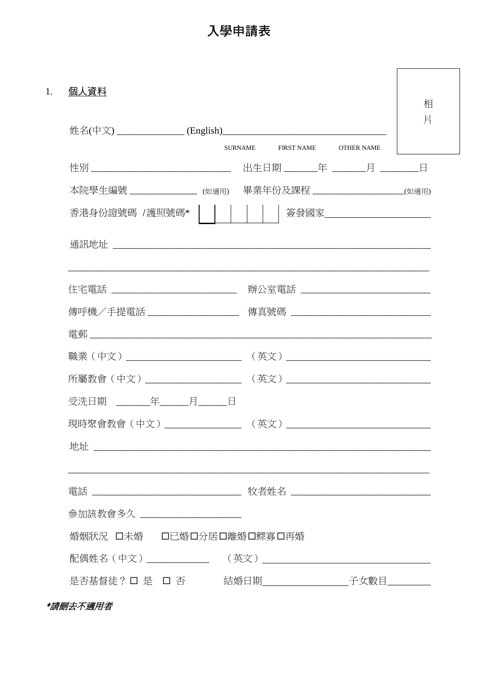入學申請表

| 個人資料                           |                                                                                   | 相 |
|--------------------------------|-----------------------------------------------------------------------------------|---|
|                                | 片                                                                                 |   |
|                                | <b>SURNAME</b><br>FIRST NAME<br><b>OTHER NAME</b>                                 |   |
|                                | 出生日期 _________年 ________月 _________日                                              |   |
| 本院學生編號 _________________ (如適用) | 畢業年份及課程 ___________(如適用)                                                          |   |
|                                | 香港身份證號碼 /護照號碼*             簽發國家________________________                           |   |
|                                |                                                                                   |   |
|                                | ,我们也不能在这里的人,我们也不能在这里的人,我们也不能在这里的人,我们也不能在这里的人,我们也不能在这里的人,我们也不能在这里的人,我们也不能在这里的人,我们也 |   |
|                                |                                                                                   |   |
|                                | 傳呼機/手提電話 ___________________ 傳真號碼 _________________________________               |   |
|                                |                                                                                   |   |
|                                |                                                                                   |   |
|                                |                                                                                   |   |
| 受洗日期 年 月 日                     |                                                                                   |   |
| 現時聚會教會 (中文)                    | (英文)                                                                              |   |
|                                |                                                                                   |   |
|                                |                                                                                   |   |
|                                |                                                                                   |   |
| 參加該教會多久 _____________________  |                                                                                   |   |
| 婚姻狀況 口未婚 口已婚口分居口離婚口鰥寡口再婚       |                                                                                   |   |
|                                |                                                                                   |   |
|                                | 是否基督徒? □ 是 □ 否    結婚日期_________子女數目_____                                          |   |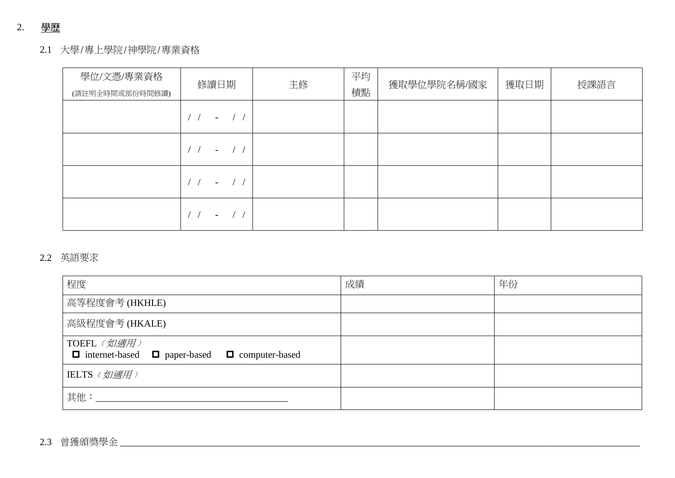# 2. 學歷

## 2.1 大學/專上學院/神學院/專業資格

| 學位/文憑/專業資格<br>(請註明全時間或部份時間修讀) | 修讀日期                     | 主修 | 平均<br>積點 | 獲取學位學院名稱/國家 | 獲取日期 | 授課語言 |
|-------------------------------|--------------------------|----|----------|-------------|------|------|
|                               | $\overline{\phantom{0}}$ |    |          |             |      |      |
|                               | $-$ /                    |    |          |             |      |      |
|                               | $\overline{\phantom{a}}$ |    |          |             |      |      |
|                               | $-$                      |    |          |             |      |      |

## 2.2 英語要求

| 程度                                                                            | 成績 | 年份 |
|-------------------------------------------------------------------------------|----|----|
| 高等程度會考(HKHLE)                                                                 |    |    |
| 高級程度會考 (HKALE)                                                                |    |    |
| TOEFL (如適用)<br>$\Box$ internet-based $\Box$ paper-based $\Box$ computer-based |    |    |
| IELTS (如適用)                                                                   |    |    |
| 其他:                                                                           |    |    |

# 2.3 曾獲頒獎學金 \_\_\_\_\_\_\_\_\_\_\_\_\_\_\_\_\_\_\_\_\_\_\_\_\_\_\_\_\_\_\_\_\_\_\_\_\_\_\_\_\_\_\_\_\_\_\_\_\_\_\_\_\_\_\_\_\_\_\_\_\_\_\_\_\_\_\_\_\_\_\_\_\_\_\_\_\_\_\_\_\_\_\_\_\_\_\_\_\_\_\_\_\_\_\_\_\_\_\_\_\_\_\_\_\_\_\_\_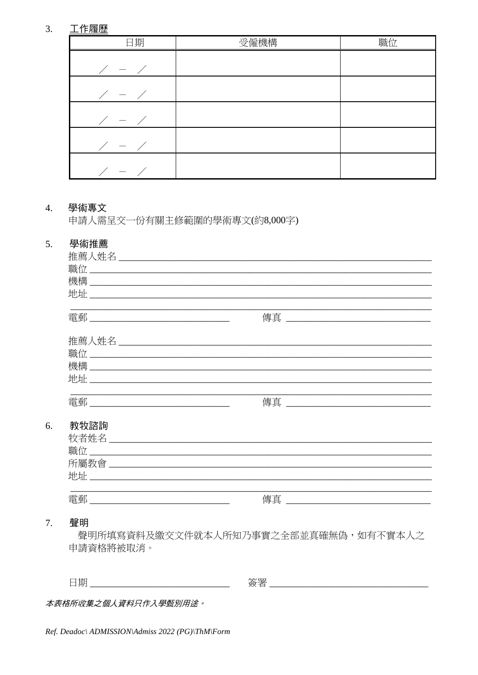#### $3.$ 工作履歷

| 日期                  | 受僱機構 | 職位 |
|---------------------|------|----|
| $\angle$ - $\angle$ |      |    |
| $\angle$ - $\angle$ |      |    |
| $\angle$ - $\angle$ |      |    |
| $\angle$ - $\angle$ |      |    |
| $\angle$ - $\angle$ |      |    |

#### $\overline{4}$ . 學術專文

申請人需呈交一份有關主修範圍的學術專文(約8,000字)

#### 5. 學術推薦

| 職位                                                                                                                         |                                                                        |
|----------------------------------------------------------------------------------------------------------------------------|------------------------------------------------------------------------|
|                                                                                                                            |                                                                        |
|                                                                                                                            |                                                                        |
|                                                                                                                            |                                                                        |
|                                                                                                                            | 傳真<br><u> 1980 - Jan James James Barnett, fransk politik (d. 1980)</u> |
|                                                                                                                            |                                                                        |
|                                                                                                                            |                                                                        |
|                                                                                                                            |                                                                        |
|                                                                                                                            |                                                                        |
| 地址<br><u> 1980 - Jan Barbara, manazarta da batar da a shekara 1980 a shekara 1980 a tsara 1980 a shekara 1980 a shekar</u> |                                                                        |
|                                                                                                                            |                                                                        |
| 雷郵                                                                                                                         | 傳真                                                                     |
|                                                                                                                            |                                                                        |
| 教牧諮詢                                                                                                                       |                                                                        |
|                                                                                                                            |                                                                        |
|                                                                                                                            |                                                                        |
|                                                                                                                            |                                                                        |
|                                                                                                                            |                                                                        |
|                                                                                                                            |                                                                        |
| 雷郵                                                                                                                         | 傳真                                                                     |
|                                                                                                                            |                                                                        |

#### 7. 聲明

6.

聲明所填寫資料及繳交文件就本人所知乃事實之全部並真確無偽,如有不實本人之 申請資格將被取消。

本表格所收集之個人資料只作入學甄別用途。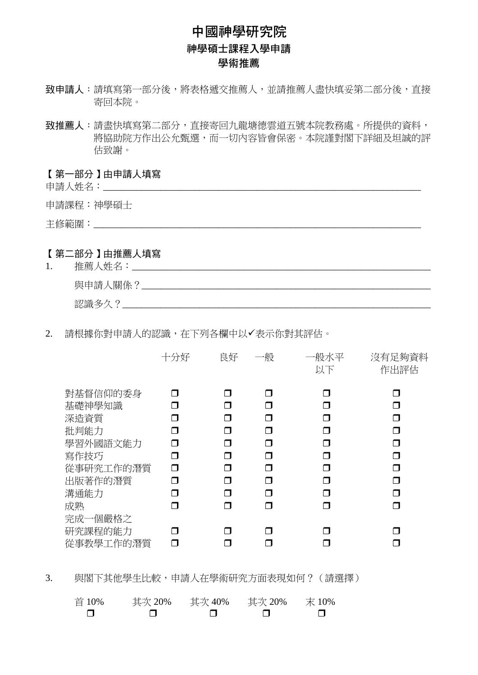# 中國神學研究院 神學碩士課程入學申請 學術推薦

- 致申請人:請填寫第一部分後,將表格遞交推薦人,並請推薦人盡快填妥第二部分後,直接 寄回本院。
- 致推薦人:請盡快填寫第二部分,直接寄回九龍塘德雲道五號本院教務處。所提供的資料, 將協助院方作出公允甄選,而一切內容皆會保密。本院謹對閣下詳細及坦誠的評 估致謝。

【第一部分】由申請人填寫

申請人姓名:

申請課程:神學碩士

主修範圍:

### 【第二部分】由推薦人填寫

- 1. 推薦人姓名:\_\_\_\_\_\_\_\_\_\_\_\_\_\_\_\_\_\_\_\_\_\_\_\_\_\_\_\_\_\_\_\_\_\_\_\_\_\_\_\_\_\_\_\_\_\_\_\_\_\_\_\_\_\_\_\_\_\_\_\_\_\_ 與申請人關係?\_\_\_\_\_\_\_\_\_\_\_\_\_\_\_\_\_\_\_\_\_\_\_\_\_\_\_\_\_\_\_\_\_\_\_\_\_\_\_\_\_\_\_\_\_\_\_\_\_\_\_\_\_\_\_\_\_\_\_\_ 認識多久?\_\_\_\_\_\_\_\_\_\_\_\_\_\_\_\_\_\_\_\_\_\_\_\_\_\_\_\_\_\_\_\_\_\_\_\_\_\_\_\_\_\_\_\_\_\_\_\_\_\_\_\_\_\_\_\_\_\_\_\_\_\_\_\_
- 2. 請根據你對申請人的認識,在下列各欄中以✔表示你對其評估。

|                                 | 十分好 | 良好     | 一般     | 一般水平<br>以下         | 沒有足夠資料<br>作出評估 |
|---------------------------------|-----|--------|--------|--------------------|----------------|
| 對基督信仰的委身<br>基礎神學知識              |     | ⊓<br>П | ⊓<br>⊓ | n<br>$\mathcal{L}$ | П<br>⊓         |
| 深造資質                            |     |        | ⊓      | Π                  | ⊓              |
| 批判能力                            |     | ⊓      | ⊓      |                    | ⊓              |
| 學習外國語文能力                        |     | ⊓      | ⊓      | П                  | ⊓              |
| 寫作技巧<br>從事研究工作的潛質               | ⊓   | ⊓      | ⊓<br>⊓ | Π<br>П             | ⊓<br>⊓         |
| 出版著作的潛質                         | П   | ⊓      | ⊓      | ⊓                  | ⊓              |
| 溝通能力                            |     |        | ⊓      | □                  | ⊓              |
| 成熟                              |     | ⊓      | ⊓      | П                  | ⊓              |
| 完成一個嚴格之<br>研究課程的能力<br>從事教學工作的潛質 |     |        | □      |                    |                |

3. 與閣下其他學生比較,申請人在學術研究方面表現如何?(請選擇)

| 首 10% | 其次 20% | 其次 40% | 其次 20% | 末 10% |
|-------|--------|--------|--------|-------|
|       |        |        |        |       |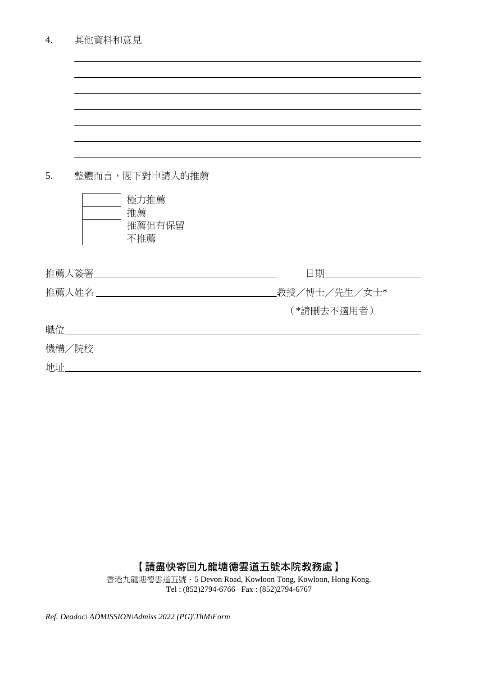| 其他資料和意見<br>4. |
|---------------|
|---------------|

| 5. | 整體而言,閣下對申請人的推薦             |              |
|----|----------------------------|--------------|
|    | 極力推薦                       |              |
|    | 推薦                         |              |
|    | 推薦但有保留<br>不推薦              |              |
|    |                            |              |
|    | 推薦人簽署________________      | 日期_________  |
|    |                            | 教授/博士/先生/女士* |
|    |                            | (*請刪去不適用者)   |
|    | 職位_____________________    |              |
|    | 機構/院校_____________________ |              |
| 地址 |                            |              |
|    |                            |              |

【請盡快寄回九龍塘德雲道五號本院教務處】

香港九龍塘德雲道五號.5 Devon Road, Kowloon Tong, Kowloon, Hong Kong. Tel : (852)2794-6766 Fax : (852)2794-6767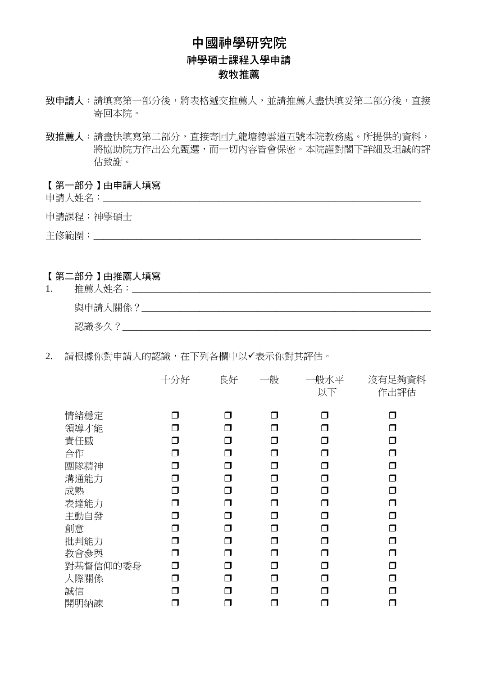# 中國神學研究院 神學碩士課程入學申請 教牧推薦

- 致申請人:請填寫第一部分後,將表格遞交推薦人,並請推薦人盡快填妥第二部分後,直接 寄回本院。
- 致推薦人:請盡快填寫第二部分,直接寄回九龍塘德雲道五號本院教務處。所提供的資料, 將協助院方作出公允甄選,而一切內容皆會保密。本院謹對閣下詳細及坦誠的評 估致謝。

### 【第一部分】由申請人填寫

申請人姓名:

申請課程:神學碩士

主修範圍:

### 【第二部分】由推薦人填寫

| ι. | 推薦<br>姓夕<br>∼ |
|----|---------------|
|    | 與申請<br>、關係?   |
|    | 認識多           |

### 2. 請根據你對申請人的認識,在下列各欄中以✔表示你對其評估。

|          | 十分好 | 良好     | 一般 | 一般水平<br>以下 | 沒有足夠資料<br>作出評估 |
|----------|-----|--------|----|------------|----------------|
| 情緒穩定     |     |        | ⊓  | ⊓          |                |
| 領導才能     | ┑   | ⊓      | □  | ⊓          |                |
| 責任感      | ┑   | ⊓      | ┑  | Π          |                |
| 合作       | ┑   | ⊓      | □  | ⊓          | □              |
| 團隊精神     | ┑   | ⊓      | ⊓  | ⊓          | ⊓              |
| 溝通能力     | ⊓   | $\Box$ | ⊓  | ⊓          | ⊓              |
| 成熟       | ⊓   | Π      | ⊓  | ⊓          | ⊓              |
| 表達能力     | ⊓   | □      | ⊓  | $\Box$     | П              |
| 主動自發     | ⊓   | Π      | ⊓  | $\Box$     | ⊓              |
| 創意       | ⊓   | ⊓      | ⊓  | ◘          | Π              |
| 批判能力     | ⊓   | Π      | ⊓  | □          | ⊓              |
| 教會參與     | ⊓   | Π      | ⊓  | $\Box$     | ⊓              |
| 對基督信仰的委身 | ⊓   | Π      | ⊓  | $\Box$     | ⊓              |
| 人際關係     | ┑   | ⊓      | ┑  | $\Box$     | ⊓              |
| 誠信       | ┑   | ┑      | ┑  | ⊓          |                |
| 開明納諫     |     |        |    |            |                |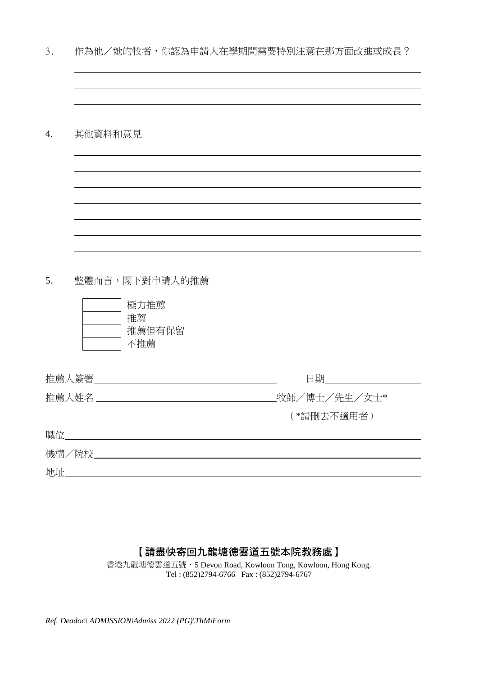| . ر |  |  |  |  | 作為他/她的牧者,你認為申請人在學期間需要特別注意在那方面改進或成長? |  |
|-----|--|--|--|--|-------------------------------------|--|
|-----|--|--|--|--|-------------------------------------|--|

4. 其他資料和意見

5. 整體而言,閣下對申請人的推薦



| 推薦人簽署________________        | 日期           |
|------------------------------|--------------|
| 推薦人姓名 ______________________ | 牧師/博士/先生/女士* |
|                              | (*請刪去不適用者)   |
| 職位                           |              |
| 機構/院校_____                   |              |
| 地址                           |              |

## 【請盡快寄回九龍塘德雲道五號本院教務處】

香港九龍塘德雲道五號.5 Devon Road, Kowloon Tong, Kowloon, Hong Kong. Tel : (852)2794-6766 Fax : (852)2794-6767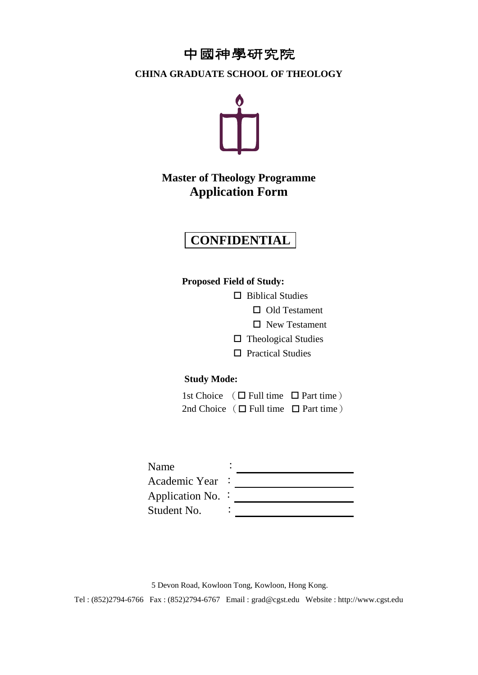# 中國神學研究院

### **CHINA GRADUATE SCHOOL OF THEOLOGY**



# **Master of Theology Programme Application Form**

# **CONFIDENTIAL**

**Proposed Field of Study:**

□ Biblical Studies

□ Old Testament

□ New Testament

- $\Box$  Theological Studies
- □ Practical Studies

### **Study Mode:**

| 1st Choice $(\Box$ Full time $\Box$ Part time) |  |
|------------------------------------------------|--|
| 2nd Choice $(\Box$ Full time $\Box$ Part time) |  |

| Name                     |  |
|--------------------------|--|
| Academic Year            |  |
| Application No. $\colon$ |  |
| Student No.              |  |

5 Devon Road, Kowloon Tong, Kowloon, Hong Kong. Tel : (852)2794-6766 Fax : (852)2794-6767 Email : grad@cgst.edu Website : http://www.cgst.edu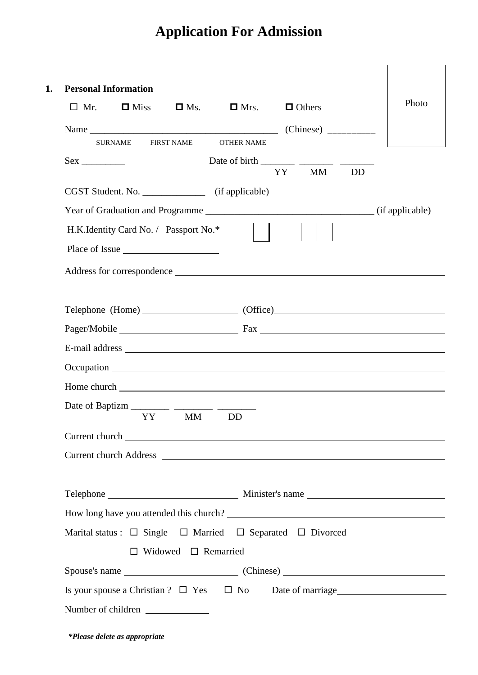# **Application For Admission**

| $\Box$ Mr. | $\Box$ Miss                           | $\Box$ Ms.                      | $\Box$ Mrs.                                         | $\Box$ Others                                                                  | Photo |
|------------|---------------------------------------|---------------------------------|-----------------------------------------------------|--------------------------------------------------------------------------------|-------|
|            |                                       |                                 |                                                     |                                                                                |       |
|            | <b>SURNAME</b>                        | <b>FIRST NAME</b>               | <b>OTHER NAME</b>                                   |                                                                                |       |
| $Sex \_$   |                                       |                                 |                                                     | YY MM<br><b>DD</b>                                                             |       |
|            |                                       |                                 | CGST Student. No. _________________ (if applicable) |                                                                                |       |
|            |                                       |                                 |                                                     |                                                                                |       |
|            | H.K.Identity Card No. / Passport No.* |                                 |                                                     |                                                                                |       |
|            |                                       |                                 |                                                     |                                                                                |       |
|            |                                       |                                 |                                                     |                                                                                |       |
|            |                                       |                                 |                                                     |                                                                                |       |
|            |                                       |                                 |                                                     |                                                                                |       |
|            |                                       |                                 |                                                     |                                                                                |       |
|            |                                       |                                 |                                                     |                                                                                |       |
|            |                                       |                                 |                                                     |                                                                                |       |
|            |                                       |                                 |                                                     |                                                                                |       |
|            |                                       |                                 |                                                     |                                                                                |       |
|            | YY X                                  | <b>MM</b>                       | <b>DD</b>                                           |                                                                                |       |
|            |                                       |                                 |                                                     |                                                                                |       |
|            |                                       |                                 |                                                     | Current church Address                                                         |       |
|            |                                       |                                 |                                                     |                                                                                |       |
|            |                                       |                                 |                                                     |                                                                                |       |
|            |                                       |                                 |                                                     |                                                                                |       |
|            |                                       |                                 |                                                     | Marital status : $\Box$ Single $\Box$ Married $\Box$ Separated $\Box$ Divorced |       |
|            |                                       | $\Box$ Widowed $\Box$ Remarried |                                                     |                                                                                |       |
|            |                                       |                                 |                                                     |                                                                                |       |
|            |                                       |                                 |                                                     | Is your spouse a Christian ? $\Box$ Yes $\Box$ No Date of marriage $\Box$      |       |
|            | Number of children                    |                                 |                                                     |                                                                                |       |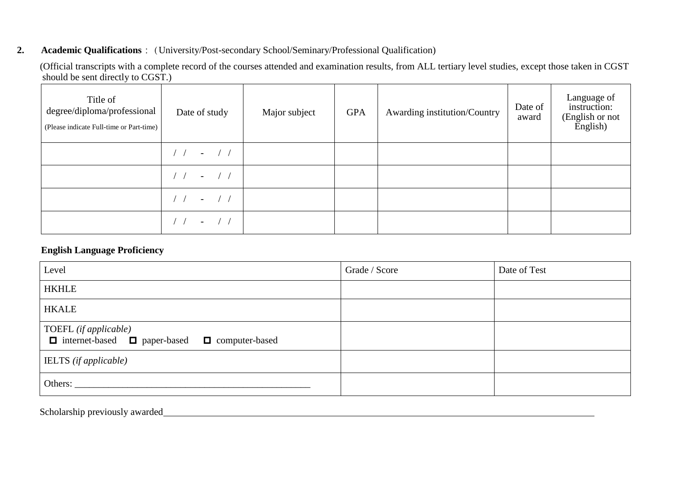### **2. Academic Qualifications** : (University/Post-secondary School/Seminary/Professional Qualification)

(Official transcripts with a complete record of the courses attended and examination results, from ALL tertiary level studies, except those taken in CGST should be sent directly to CGST.)

| Title of<br>degree/diploma/professional<br>(Please indicate Full-time or Part-time) | Date of study                          | Major subject | <b>GPA</b> | Awarding institution/Country | Date of<br>award | Language of<br>instruction:<br>(English or not<br>English) |
|-------------------------------------------------------------------------------------|----------------------------------------|---------------|------------|------------------------------|------------------|------------------------------------------------------------|
|                                                                                     | $\frac{1}{2}$<br>$\sim$                |               |            |                              |                  |                                                            |
|                                                                                     | $\left  \right $<br>$\sim$             |               |            |                              |                  |                                                            |
|                                                                                     | $-$ / /                                |               |            |                              |                  |                                                            |
|                                                                                     | $\sqrt{1}$<br>$\overline{\phantom{0}}$ |               |            |                              |                  |                                                            |

### **English Language Proficiency**

| Level                                                                    | Grade / Score | Date of Test |
|--------------------------------------------------------------------------|---------------|--------------|
| <b>HKHLE</b>                                                             |               |              |
| <b>HKALE</b>                                                             |               |              |
| TOEFL (if applicable)<br>□ internet-based □ paper-based □ computer-based |               |              |
| <b>IELTS</b> (if applicable)                                             |               |              |
| Others:                                                                  |               |              |

Scholarship previously awarded\_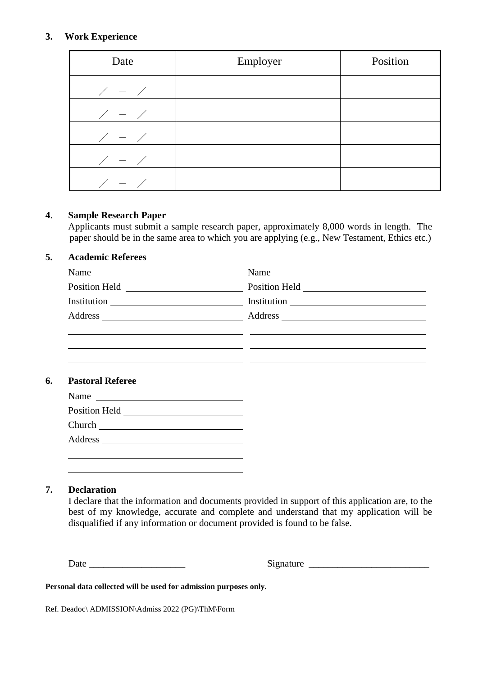### **3. Work Experience**

| Date                | Employer | Position |
|---------------------|----------|----------|
| $\angle$ - $\angle$ |          |          |
| $\angle$ - $\angle$ |          |          |
| $\angle$ - $\angle$ |          |          |
| $\angle$ - $\angle$ |          |          |
| $\angle$ - $\angle$ |          |          |

### **4**. **Sample Research Paper**

Applicants must submit a sample research paper, approximately 8,000 words in length. The paper should be in the same area to which you are applying (e.g., New Testament, Ethics etc.)

### **5. Academic Referees**

| Name<br><u> 1989 - Andrea State Barbara, política e a contrar a la contrar de la contrar altre</u> | Name $\frac{1}{\sqrt{1-\frac{1}{2}}\sqrt{1-\frac{1}{2}}\sqrt{1-\frac{1}{2}}\sqrt{1-\frac{1}{2}}\sqrt{1-\frac{1}{2}}\sqrt{1-\frac{1}{2}}\sqrt{1-\frac{1}{2}}\sqrt{1-\frac{1}{2}}\sqrt{1-\frac{1}{2}}\sqrt{1-\frac{1}{2}}\sqrt{1-\frac{1}{2}}\sqrt{1-\frac{1}{2}}\sqrt{1-\frac{1}{2}}\sqrt{1-\frac{1}{2}}\sqrt{1-\frac{1}{2}}\sqrt{1-\frac{1}{2}}\sqrt{1-\frac{1}{2}}\sqrt{1-\frac{1}{2}}\sqrt{1-\frac{1}{2}}\$ |
|----------------------------------------------------------------------------------------------------|---------------------------------------------------------------------------------------------------------------------------------------------------------------------------------------------------------------------------------------------------------------------------------------------------------------------------------------------------------------------------------------------------------------|
|                                                                                                    | Position Held <u> Leader and Theorem and Theorem and Theorem and Theorem and Theorem and Theorem and Theorem and Theorem and Theorem and Theorem and Theorem and Theorem and Theorem and Theorem and Theorem and Theorem and The</u>                                                                                                                                                                          |
|                                                                                                    |                                                                                                                                                                                                                                                                                                                                                                                                               |
|                                                                                                    |                                                                                                                                                                                                                                                                                                                                                                                                               |
|                                                                                                    |                                                                                                                                                                                                                                                                                                                                                                                                               |
|                                                                                                    |                                                                                                                                                                                                                                                                                                                                                                                                               |
|                                                                                                    |                                                                                                                                                                                                                                                                                                                                                                                                               |

 $\mathbb{R}^n$ 

### **6. Pastoral Referee**

| Name<br><u> 1980 - Jan Samuel Barbara, martin d</u> |
|-----------------------------------------------------|
| Position Held                                       |
| Church                                              |
| Address                                             |
|                                                     |

### **7. Declaration**

I declare that the information and documents provided in support of this application are, to the best of my knowledge, accurate and complete and understand that my application will be disqualified if any information or document provided is found to be false.

Date \_\_\_\_\_\_\_\_\_\_\_\_\_\_\_\_\_\_\_\_ Signature \_\_\_\_\_\_\_\_\_\_\_\_\_\_\_\_\_\_\_\_\_\_\_\_\_

**Personal data collected will be used for admission purposes only.**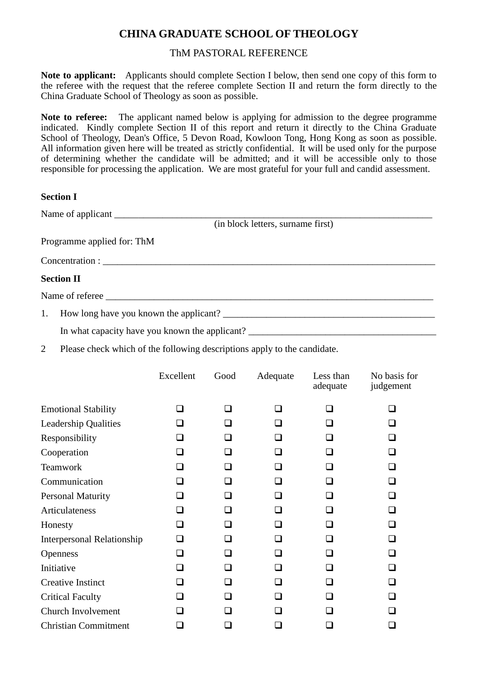# **CHINA GRADUATE SCHOOL OF THEOLOGY**

### ThM PASTORAL REFERENCE

**Note to applicant:** Applicants should complete Section I below, then send one copy of this form to the referee with the request that the referee complete Section II and return the form directly to the China Graduate School of Theology as soon as possible.

**Note to referee:** The applicant named below is applying for admission to the degree programme indicated. Kindly complete Section II of this report and return it directly to the China Graduate School of Theology, Dean's Office, 5 Devon Road, Kowloon Tong, Hong Kong as soon as possible. All information given here will be treated as strictly confidential. It will be used only for the purpose of determining whether the candidate will be admitted; and it will be accessible only to those responsible for processing the application. We are most grateful for your full and candid assessment.

### **Section I**

|                   | Name of applicant                 |
|-------------------|-----------------------------------|
|                   | (in block letters, surname first) |
|                   | Programme applied for: ThM        |
|                   |                                   |
| <b>Section II</b> |                                   |
|                   | Name of referee                   |
|                   |                                   |

In what capacity have you known the applicant? \_\_\_\_\_\_\_\_\_\_\_\_\_\_\_\_\_\_\_\_\_\_\_\_\_\_\_\_\_\_\_\_\_

2 Please check which of the following descriptions apply to the candidate.

|                                   | Excellent | Good | Adequate       | Less than<br>adequate | No basis for<br>judgement |
|-----------------------------------|-----------|------|----------------|-----------------------|---------------------------|
| <b>Emotional Stability</b>        | ר         | n    | ⊓              | n                     | n                         |
| <b>Leadership Qualities</b>       | □         | П    |                |                       | n                         |
| Responsibility                    | $\Box$    | l 1  | ⊔              |                       | □                         |
| Cooperation                       | П         | П    | H              | H                     | П                         |
| <b>Teamwork</b>                   | a ka      | ⊓    | <b>.</b>       | <b>.</b>              | П                         |
| Communication                     |           | - 1  |                |                       | П                         |
| <b>Personal Maturity</b>          |           | □    |                | □                     |                           |
| Articulateness                    | П         | ⊓    | ⊔              |                       |                           |
| Honesty                           | ┒         | ⊓    | H              | □                     | П                         |
| <b>Interpersonal Relationship</b> | □         | ⊓    | $\Box$         |                       | П                         |
| <b>Openness</b>                   | □         | ⊓    | $\blacksquare$ | □                     | n                         |
| Initiative                        | □         | □    | ⊔              | H                     | □                         |
| <b>Creative Instinct</b>          | ┓         | □    | $\blacksquare$ | <b>.</b>              | ┓                         |
| <b>Critical Faculty</b>           | n l       | □    | <b>.</b>       | <b>.</b>              | П                         |
| Church Involvement                |           |      |                |                       |                           |
| <b>Christian Commitment</b>       |           |      |                |                       |                           |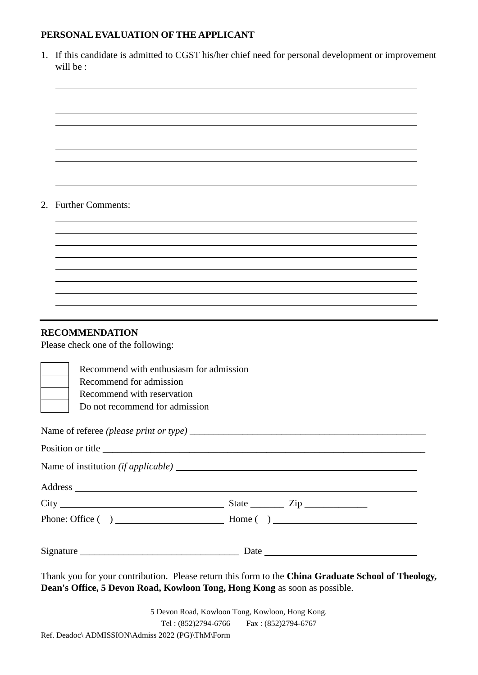### **PERSONAL EVALUATION OF THE APPLICANT**

| 1. If this candidate is admitted to CGST his/her chief need for personal development or improvement |
|-----------------------------------------------------------------------------------------------------|
| will be :                                                                                           |

### 2. Further Comments:

### **RECOMMENDATION**

Please check one of the following:

|      | Recommend with enthusiasm for admission |     |  |  |  |
|------|-----------------------------------------|-----|--|--|--|
|      | Recommend for admission                 |     |  |  |  |
|      | Recommend with reservation              |     |  |  |  |
|      | Do not recommend for admission          |     |  |  |  |
|      |                                         |     |  |  |  |
|      |                                         |     |  |  |  |
|      |                                         |     |  |  |  |
|      |                                         |     |  |  |  |
| City | State                                   | Zip |  |  |  |

| Phone: Office $( )$ | Home ( |  |
|---------------------|--------|--|
|                     |        |  |
| Signature           | Date   |  |

Thank you for your contribution. Please return this form to the **China Graduate School of Theology, Dean's Office, 5 Devon Road, Kowloon Tong, Hong Kong** as soon as possible.

5 Devon Road, Kowloon Tong, Kowloon, Hong Kong. Tel : (852)2794-6766 Fax : (852)2794-6767 Ref. Deadoc\ ADMISSION\Admiss 2022 (PG)\ThM\Form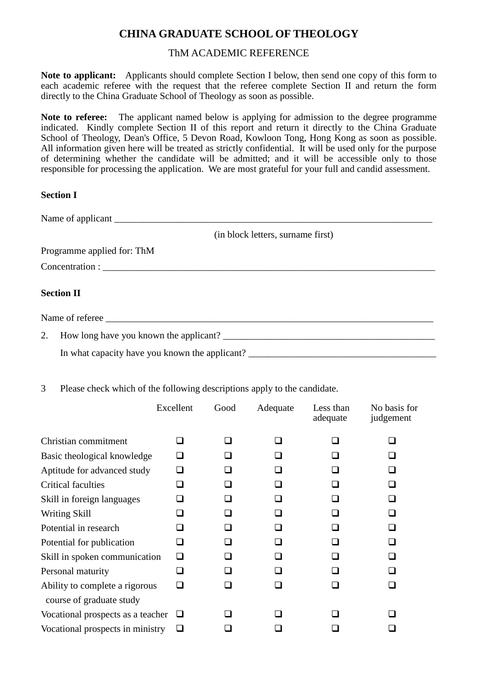# **CHINA GRADUATE SCHOOL OF THEOLOGY**

### ThM ACADEMIC REFERENCE

**Note to applicant:** Applicants should complete Section I below, then send one copy of this form to each academic referee with the request that the referee complete Section II and return the form directly to the China Graduate School of Theology as soon as possible.

**Note to referee:** The applicant named below is applying for admission to the degree programme indicated. Kindly complete Section II of this report and return it directly to the China Graduate School of Theology, Dean's Office, 5 Devon Road, Kowloon Tong, Hong Kong as soon as possible. All information given here will be treated as strictly confidential. It will be used only for the purpose of determining whether the candidate will be admitted; and it will be accessible only to those responsible for processing the application. We are most grateful for your full and candid assessment.

### **Section I**

| (in block letters, surname first)                                                |
|----------------------------------------------------------------------------------|
| Programme applied for: ThM                                                       |
|                                                                                  |
| <b>Section II</b>                                                                |
|                                                                                  |
|                                                                                  |
| In what capacity have you known the applicant? _________________________________ |

3 Please check which of the following descriptions apply to the candidate.

|                                                            | Excellent    | Good | Adequate | Less than<br>adequate | No basis for<br>judgement |
|------------------------------------------------------------|--------------|------|----------|-----------------------|---------------------------|
| Christian commitment                                       | П            | ∩    | П        |                       | ப                         |
| Basic theological knowledge                                | □            |      |          |                       | ப                         |
| Aptitude for advanced study                                | □            |      |          |                       | $\overline{\phantom{a}}$  |
| <b>Critical faculties</b>                                  | $\mathsf{L}$ |      |          |                       | $\Box$                    |
| Skill in foreign languages                                 | $\Box$       | ⊓    | H        |                       | □                         |
| Writing Skill                                              | □            |      |          |                       | П                         |
| Potential in research                                      | $\mathsf{L}$ |      |          |                       | $\mathsf{L}$              |
| Potential for publication                                  | ப            |      |          |                       | ப                         |
| Skill in spoken communication                              | □            |      |          |                       | $\mathsf{L}$              |
| Personal maturity                                          | $\Box$       |      |          |                       | l 1                       |
| Ability to complete a rigorous<br>course of graduate study | □            |      |          |                       | H                         |
| Vocational prospects as a teacher                          | ⊔            |      |          |                       |                           |
| Vocational prospects in ministry                           | ப            |      |          |                       |                           |